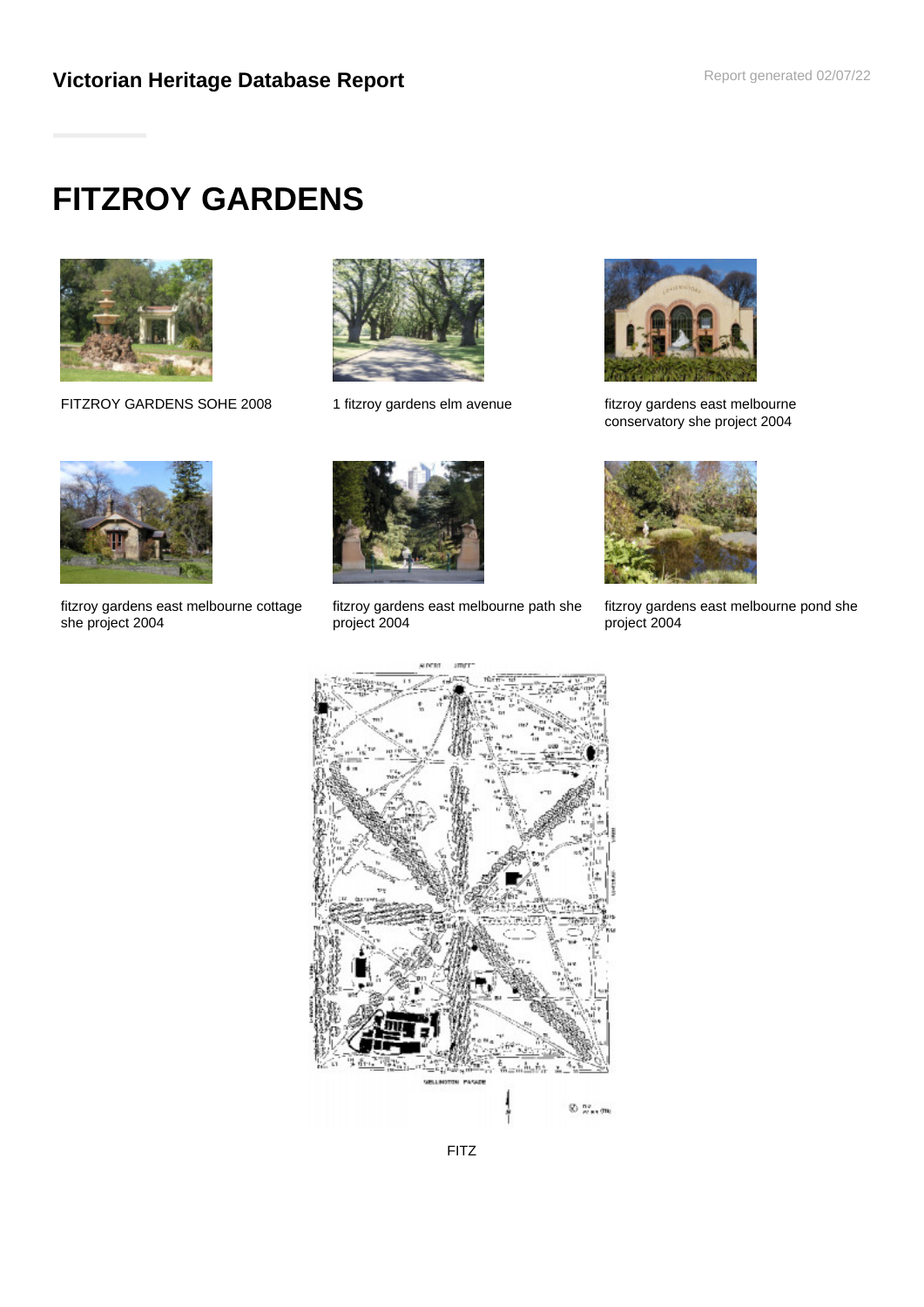# **FITZROY GARDENS**



FITZROY GARDENS SOHE 2008 1 fitzroy gardens elm avenue fitzroy gardens east melbourne





conservatory she project 2004



fitzroy gardens east melbourne cottage she project 2004



fitzroy gardens east melbourne path she project 2004



fitzroy gardens east melbourne pond she project 2004



FITZ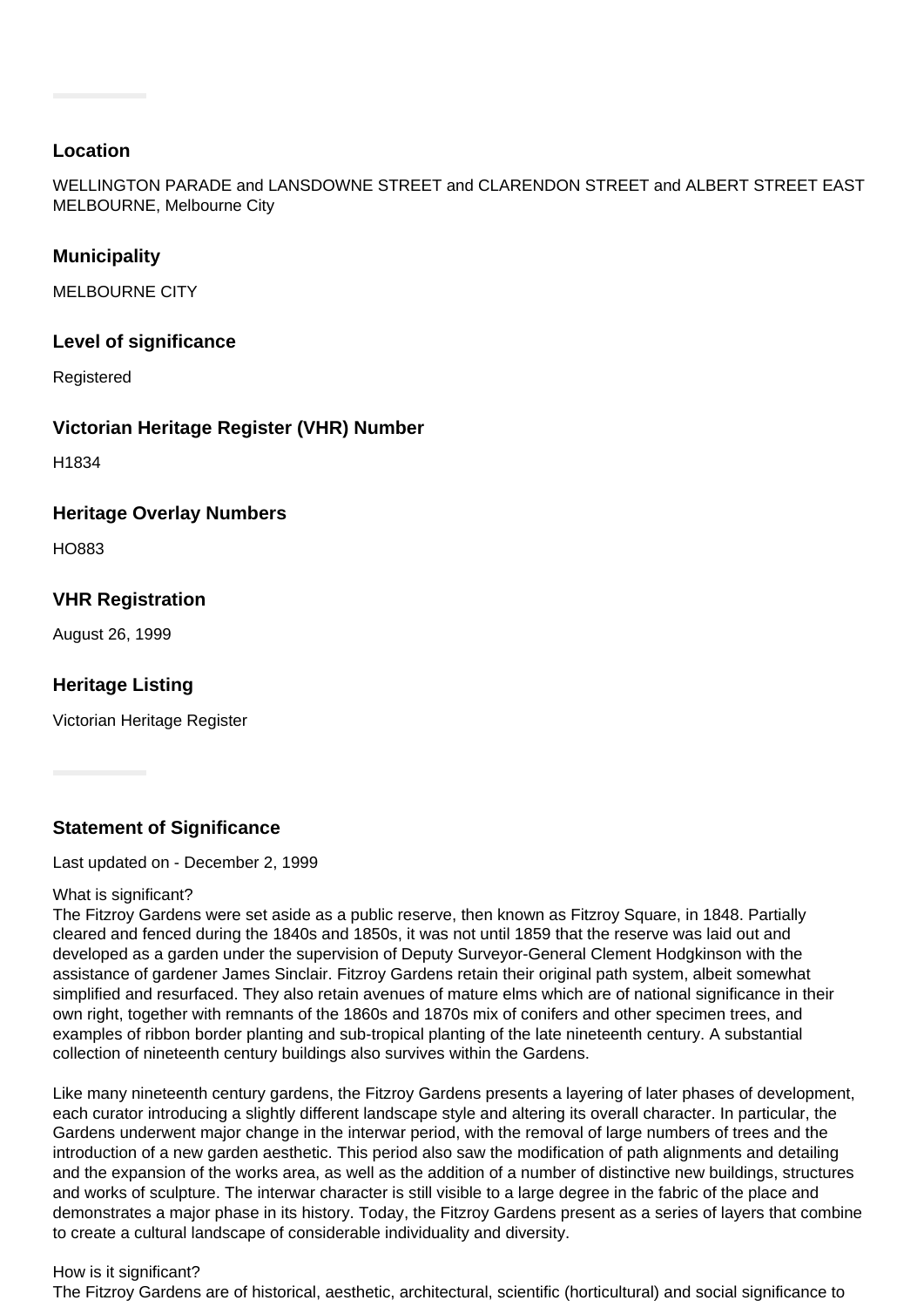## **Location**

WELLINGTON PARADE and LANSDOWNE STREET and CLARENDON STREET and ALBERT STREET EAST MELBOURNE, Melbourne City

## **Municipality**

MELBOURNE CITY

## **Level of significance**

Registered

## **Victorian Heritage Register (VHR) Number**

H1834

## **Heritage Overlay Numbers**

HO883

## **VHR Registration**

August 26, 1999

## **Heritage Listing**

Victorian Heritage Register

**Statement of Significance**

Last updated on - December 2, 1999

#### What is significant?

The Fitzroy Gardens were set aside as a public reserve, then known as Fitzroy Square, in 1848. Partially cleared and fenced during the 1840s and 1850s, it was not until 1859 that the reserve was laid out and developed as a garden under the supervision of Deputy Surveyor-General Clement Hodgkinson with the assistance of gardener James Sinclair. Fitzroy Gardens retain their original path system, albeit somewhat simplified and resurfaced. They also retain avenues of mature elms which are of national significance in their own right, together with remnants of the 1860s and 1870s mix of conifers and other specimen trees, and examples of ribbon border planting and sub-tropical planting of the late nineteenth century. A substantial collection of nineteenth century buildings also survives within the Gardens.

Like many nineteenth century gardens, the Fitzroy Gardens presents a layering of later phases of development, each curator introducing a slightly different landscape style and altering its overall character. In particular, the Gardens underwent major change in the interwar period, with the removal of large numbers of trees and the introduction of a new garden aesthetic. This period also saw the modification of path alignments and detailing and the expansion of the works area, as well as the addition of a number of distinctive new buildings, structures and works of sculpture. The interwar character is still visible to a large degree in the fabric of the place and demonstrates a major phase in its history. Today, the Fitzroy Gardens present as a series of layers that combine to create a cultural landscape of considerable individuality and diversity.

#### How is it significant?

The Fitzroy Gardens are of historical, aesthetic, architectural, scientific (horticultural) and social significance to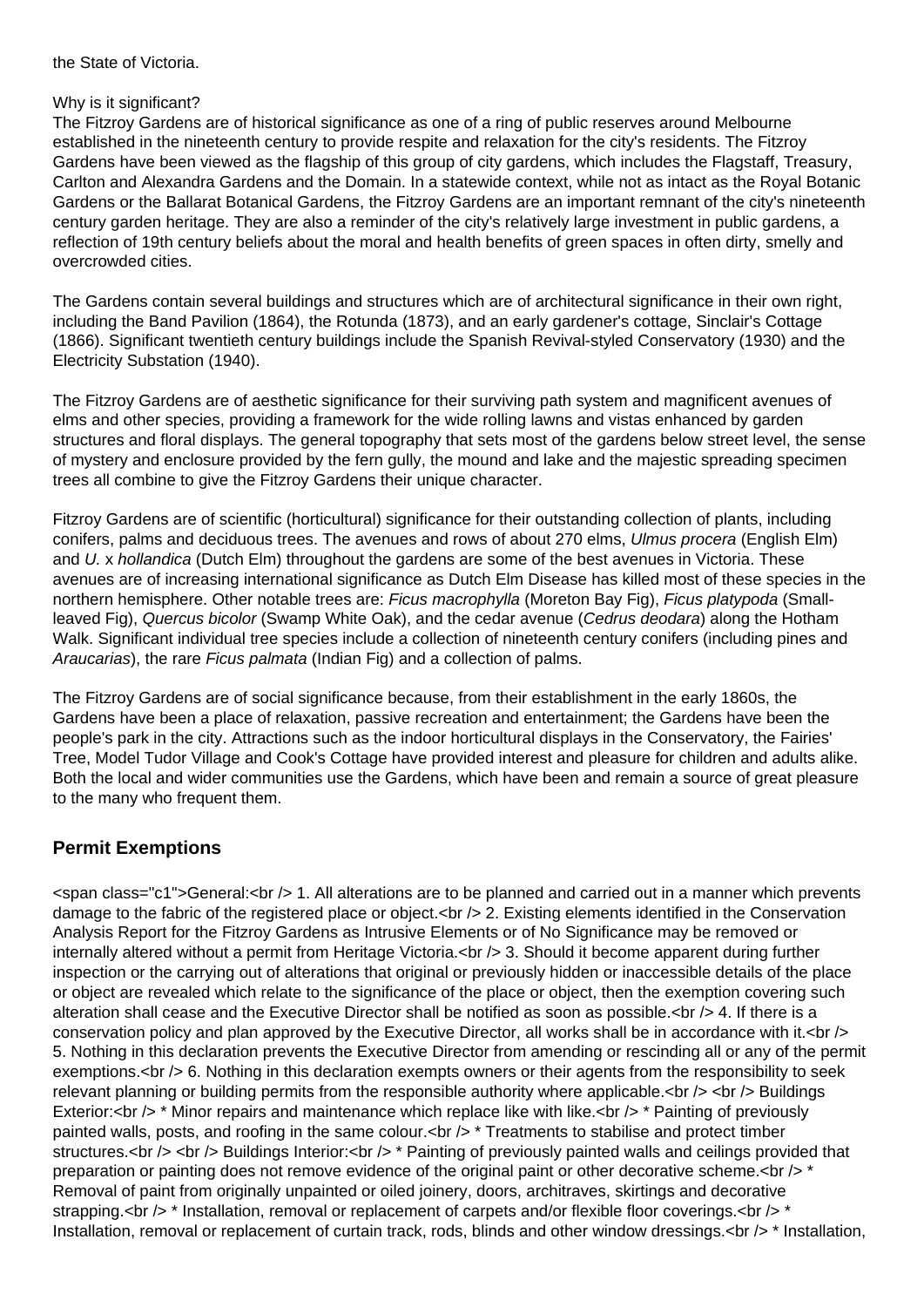the State of Victoria.

#### Why is it significant?

The Fitzroy Gardens are of historical significance as one of a ring of public reserves around Melbourne established in the nineteenth century to provide respite and relaxation for the city's residents. The Fitzroy Gardens have been viewed as the flagship of this group of city gardens, which includes the Flagstaff, Treasury, Carlton and Alexandra Gardens and the Domain. In a statewide context, while not as intact as the Royal Botanic Gardens or the Ballarat Botanical Gardens, the Fitzroy Gardens are an important remnant of the city's nineteenth century garden heritage. They are also a reminder of the city's relatively large investment in public gardens, a reflection of 19th century beliefs about the moral and health benefits of green spaces in often dirty, smelly and overcrowded cities.

The Gardens contain several buildings and structures which are of architectural significance in their own right, including the Band Pavilion (1864), the Rotunda (1873), and an early gardener's cottage, Sinclair's Cottage (1866). Significant twentieth century buildings include the Spanish Revival-styled Conservatory (1930) and the Electricity Substation (1940).

The Fitzroy Gardens are of aesthetic significance for their surviving path system and magnificent avenues of elms and other species, providing a framework for the wide rolling lawns and vistas enhanced by garden structures and floral displays. The general topography that sets most of the gardens below street level, the sense of mystery and enclosure provided by the fern gully, the mound and lake and the majestic spreading specimen trees all combine to give the Fitzroy Gardens their unique character.

Fitzroy Gardens are of scientific (horticultural) significance for their outstanding collection of plants, including conifers, palms and deciduous trees. The avenues and rows of about 270 elms, *Ulmus procera* (English Elm) and U. x hollandica (Dutch Elm) throughout the gardens are some of the best avenues in Victoria. These avenues are of increasing international significance as Dutch Elm Disease has killed most of these species in the northern hemisphere. Other notable trees are: Ficus macrophylla (Moreton Bay Fig), Ficus platypoda (Smallleaved Fig), Quercus bicolor (Swamp White Oak), and the cedar avenue (Cedrus deodara) along the Hotham Walk. Significant individual tree species include a collection of nineteenth century conifers (including pines and Araucarias), the rare Ficus palmata (Indian Fig) and a collection of palms.

The Fitzroy Gardens are of social significance because, from their establishment in the early 1860s, the Gardens have been a place of relaxation, passive recreation and entertainment; the Gardens have been the people's park in the city. Attractions such as the indoor horticultural displays in the Conservatory, the Fairies' Tree, Model Tudor Village and Cook's Cottage have provided interest and pleasure for children and adults alike. Both the local and wider communities use the Gardens, which have been and remain a source of great pleasure to the many who frequent them.

# **Permit Exemptions**

<span class="c1">General:<br /> 1. All alterations are to be planned and carried out in a manner which prevents damage to the fabric of the registered place or object.<br />> $\geq$  2. Existing elements identified in the Conservation Analysis Report for the Fitzroy Gardens as Intrusive Elements or of No Significance may be removed or internally altered without a permit from Heritage Victoria.<br />  $\geq$  3. Should it become apparent during further inspection or the carrying out of alterations that original or previously hidden or inaccessible details of the place or object are revealed which relate to the significance of the place or object, then the exemption covering such alteration shall cease and the Executive Director shall be notified as soon as possible.<br />> 4. If there is a conservation policy and plan approved by the Executive Director, all works shall be in accordance with it. < br  $\sim$ 5. Nothing in this declaration prevents the Executive Director from amending or rescinding all or any of the permit exemptions.<br /> 6. Nothing in this declaration exempts owners or their agents from the responsibility to seek relevant planning or building permits from the responsible authority where applicable.<br />> <br />> <br />> Buildings Exterior:<br /> \* Minor repairs and maintenance which replace like with like.<br /> \* Painting of previously painted walls, posts, and roofing in the same colour.  $\langle$ br  $\rangle$  \* Treatments to stabilise and protect timber structures.<br /> <br /> Buildings Interior:<br />>\* Painting of previously painted walls and ceilings provided that preparation or painting does not remove evidence of the original paint or other decorative scheme. $\text{cbr} \geq \text{*}$ Removal of paint from originally unpainted or oiled joinery, doors, architraves, skirtings and decorative strapping.<br /> \* Installation, removal or replacement of carpets and/or flexible floor coverings.<br />\* \* Installation, removal or replacement of curtain track, rods, blinds and other window dressings.<br />
\* Installation,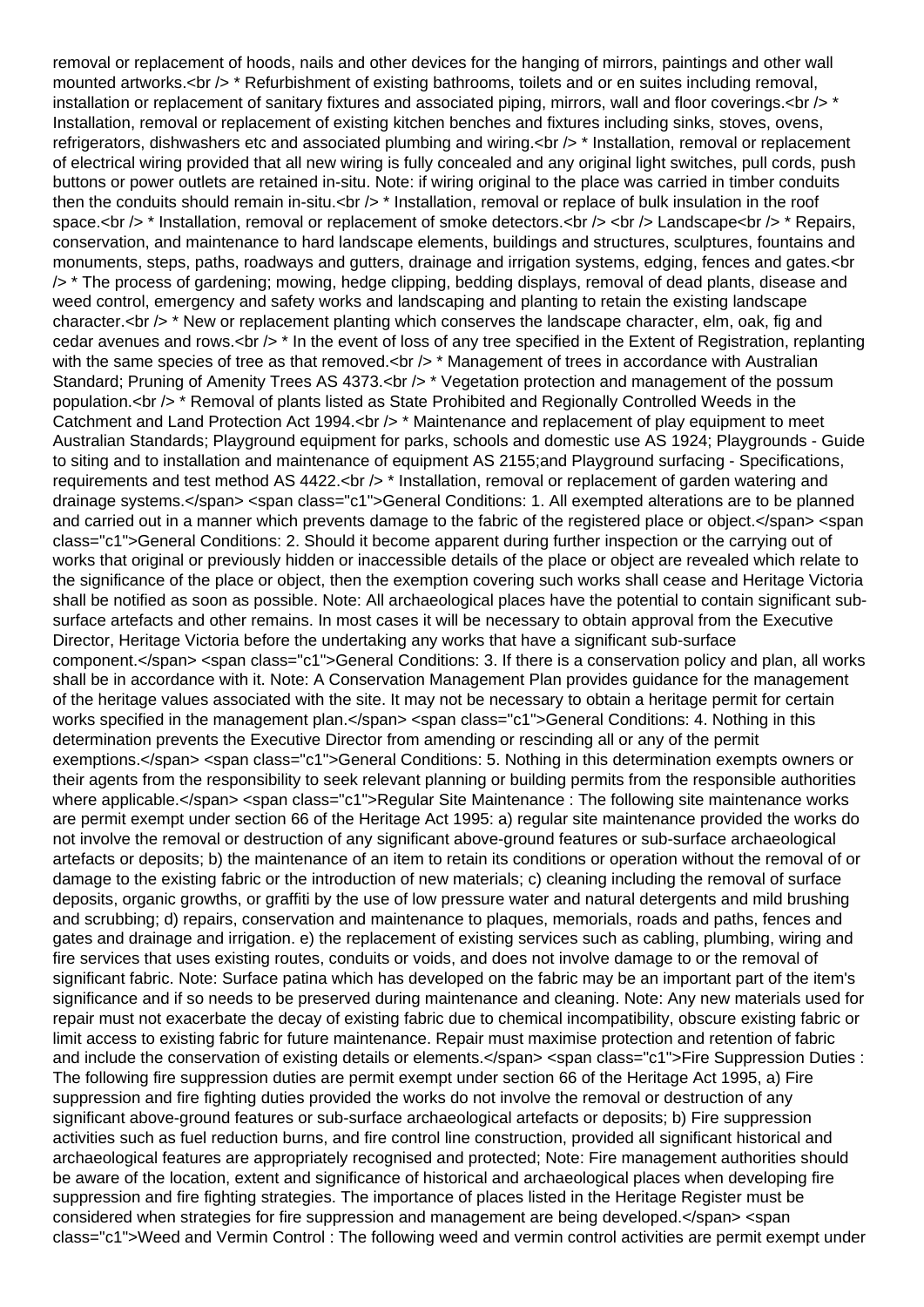removal or replacement of hoods, nails and other devices for the hanging of mirrors, paintings and other wall mounted artworks.<br /> \* Refurbishment of existing bathrooms, toilets and or en suites including removal, installation or replacement of sanitary fixtures and associated piping, mirrors, wall and floor coverings.  $\langle$ br  $\rangle$  \* Installation, removal or replacement of existing kitchen benches and fixtures including sinks, stoves, ovens, refrigerators, dishwashers etc and associated plumbing and wiring. <br />> \* Installation, removal or replacement of electrical wiring provided that all new wiring is fully concealed and any original light switches, pull cords, push buttons or power outlets are retained in-situ. Note: if wiring original to the place was carried in timber conduits then the conduits should remain in-situ.<br />  $\star$  Installation, removal or replace of bulk insulation in the roof space.<br />> \* Installation, removal or replacement of smoke detectors.<br />> <br />> <br />>
Landscape<br />
the Repairs, conservation, and maintenance to hard landscape elements, buildings and structures, sculptures, fountains and monuments, steps, paths, roadways and gutters, drainage and irrigation systems, edging, fences and gates.<br /> \* The process of gardening; mowing, hedge clipping, bedding displays, removal of dead plants, disease and weed control, emergency and safety works and landscaping and planting to retain the existing landscape character.<br /> \* New or replacement planting which conserves the landscape character, elm, oak, fig and cedar avenues and rows. $\langle$ br  $/$   $\rangle$  \* In the event of loss of any tree specified in the Extent of Registration, replanting with the same species of tree as that removed.<br  $/$   $>$  \* Management of trees in accordance with Australian Standard; Pruning of Amenity Trees AS 4373.<br />>  $\star$  Vegetation protection and management of the possum population.<br /> \* Removal of plants listed as State Prohibited and Regionally Controlled Weeds in the Catchment and Land Protection Act 1994.<br />  $\geq$  \* Maintenance and replacement of play equipment to meet Australian Standards; Playground equipment for parks, schools and domestic use AS 1924; Playgrounds - Guide to siting and to installation and maintenance of equipment AS 2155;and Playground surfacing - Specifications, requirements and test method AS 4422.<br />> \* Installation, removal or replacement of garden watering and drainage systems.</span> <span class="c1">General Conditions: 1. All exempted alterations are to be planned and carried out in a manner which prevents damage to the fabric of the registered place or object.</span> <span class="c1">General Conditions: 2. Should it become apparent during further inspection or the carrying out of works that original or previously hidden or inaccessible details of the place or object are revealed which relate to the significance of the place or object, then the exemption covering such works shall cease and Heritage Victoria shall be notified as soon as possible. Note: All archaeological places have the potential to contain significant subsurface artefacts and other remains. In most cases it will be necessary to obtain approval from the Executive Director, Heritage Victoria before the undertaking any works that have a significant sub-surface component.</span> <span class="c1">General Conditions: 3. If there is a conservation policy and plan, all works shall be in accordance with it. Note: A Conservation Management Plan provides guidance for the management of the heritage values associated with the site. It may not be necessary to obtain a heritage permit for certain works specified in the management plan.</span> <span class="c1">General Conditions: 4. Nothing in this determination prevents the Executive Director from amending or rescinding all or any of the permit exemptions.</span> <span class="c1">General Conditions: 5. Nothing in this determination exempts owners or their agents from the responsibility to seek relevant planning or building permits from the responsible authorities where applicable.</span> <span class="c1">Regular Site Maintenance : The following site maintenance works are permit exempt under section 66 of the Heritage Act 1995: a) regular site maintenance provided the works do not involve the removal or destruction of any significant above-ground features or sub-surface archaeological artefacts or deposits; b) the maintenance of an item to retain its conditions or operation without the removal of or damage to the existing fabric or the introduction of new materials; c) cleaning including the removal of surface deposits, organic growths, or graffiti by the use of low pressure water and natural detergents and mild brushing and scrubbing; d) repairs, conservation and maintenance to plaques, memorials, roads and paths, fences and gates and drainage and irrigation. e) the replacement of existing services such as cabling, plumbing, wiring and fire services that uses existing routes, conduits or voids, and does not involve damage to or the removal of significant fabric. Note: Surface patina which has developed on the fabric may be an important part of the item's significance and if so needs to be preserved during maintenance and cleaning. Note: Any new materials used for repair must not exacerbate the decay of existing fabric due to chemical incompatibility, obscure existing fabric or limit access to existing fabric for future maintenance. Repair must maximise protection and retention of fabric and include the conservation of existing details or elements.</span> <span class="c1">Fire Suppression Duties : The following fire suppression duties are permit exempt under section 66 of the Heritage Act 1995, a) Fire suppression and fire fighting duties provided the works do not involve the removal or destruction of any significant above-ground features or sub-surface archaeological artefacts or deposits; b) Fire suppression activities such as fuel reduction burns, and fire control line construction, provided all significant historical and archaeological features are appropriately recognised and protected; Note: Fire management authorities should be aware of the location, extent and significance of historical and archaeological places when developing fire suppression and fire fighting strategies. The importance of places listed in the Heritage Register must be considered when strategies for fire suppression and management are being developed.</span> <span class="c1">Weed and Vermin Control : The following weed and vermin control activities are permit exempt under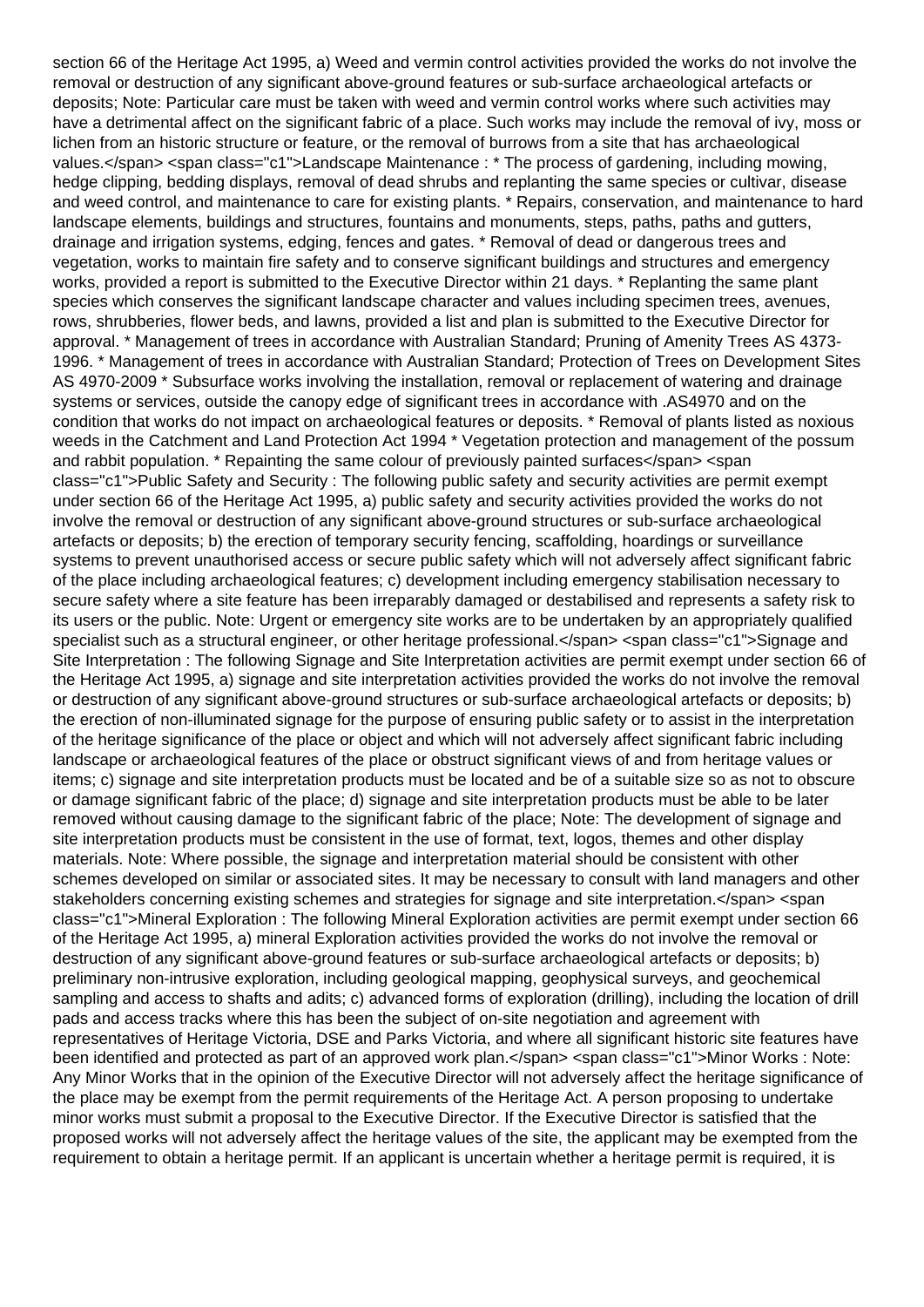section 66 of the Heritage Act 1995, a) Weed and vermin control activities provided the works do not involve the removal or destruction of any significant above-ground features or sub-surface archaeological artefacts or deposits; Note: Particular care must be taken with weed and vermin control works where such activities may have a detrimental affect on the significant fabric of a place. Such works may include the removal of ivy, moss or lichen from an historic structure or feature, or the removal of burrows from a site that has archaeological values.</span> <span class="c1">Landscape Maintenance : \* The process of gardening, including mowing, hedge clipping, bedding displays, removal of dead shrubs and replanting the same species or cultivar, disease and weed control, and maintenance to care for existing plants. \* Repairs, conservation, and maintenance to hard landscape elements, buildings and structures, fountains and monuments, steps, paths, paths and gutters, drainage and irrigation systems, edging, fences and gates. \* Removal of dead or dangerous trees and vegetation, works to maintain fire safety and to conserve significant buildings and structures and emergency works, provided a report is submitted to the Executive Director within 21 days. \* Replanting the same plant species which conserves the significant landscape character and values including specimen trees, avenues, rows, shrubberies, flower beds, and lawns, provided a list and plan is submitted to the Executive Director for approval. \* Management of trees in accordance with Australian Standard; Pruning of Amenity Trees AS 4373- 1996. \* Management of trees in accordance with Australian Standard; Protection of Trees on Development Sites AS 4970-2009 \* Subsurface works involving the installation, removal or replacement of watering and drainage systems or services, outside the canopy edge of significant trees in accordance with .AS4970 and on the condition that works do not impact on archaeological features or deposits. \* Removal of plants listed as noxious weeds in the Catchment and Land Protection Act 1994 \* Vegetation protection and management of the possum and rabbit population. \* Repainting the same colour of previously painted surfaces</span> <span class="c1">Public Safety and Security : The following public safety and security activities are permit exempt under section 66 of the Heritage Act 1995, a) public safety and security activities provided the works do not involve the removal or destruction of any significant above-ground structures or sub-surface archaeological artefacts or deposits; b) the erection of temporary security fencing, scaffolding, hoardings or surveillance systems to prevent unauthorised access or secure public safety which will not adversely affect significant fabric of the place including archaeological features; c) development including emergency stabilisation necessary to secure safety where a site feature has been irreparably damaged or destabilised and represents a safety risk to its users or the public. Note: Urgent or emergency site works are to be undertaken by an appropriately qualified specialist such as a structural engineer, or other heritage professional.</span> <span class="c1">Signage and Site Interpretation : The following Signage and Site Interpretation activities are permit exempt under section 66 of the Heritage Act 1995, a) signage and site interpretation activities provided the works do not involve the removal or destruction of any significant above-ground structures or sub-surface archaeological artefacts or deposits; b) the erection of non-illuminated signage for the purpose of ensuring public safety or to assist in the interpretation of the heritage significance of the place or object and which will not adversely affect significant fabric including landscape or archaeological features of the place or obstruct significant views of and from heritage values or items; c) signage and site interpretation products must be located and be of a suitable size so as not to obscure or damage significant fabric of the place; d) signage and site interpretation products must be able to be later removed without causing damage to the significant fabric of the place; Note: The development of signage and site interpretation products must be consistent in the use of format, text, logos, themes and other display materials. Note: Where possible, the signage and interpretation material should be consistent with other schemes developed on similar or associated sites. It may be necessary to consult with land managers and other stakeholders concerning existing schemes and strategies for signage and site interpretation.</span> <span class="c1">Mineral Exploration : The following Mineral Exploration activities are permit exempt under section 66 of the Heritage Act 1995, a) mineral Exploration activities provided the works do not involve the removal or destruction of any significant above-ground features or sub-surface archaeological artefacts or deposits; b) preliminary non-intrusive exploration, including geological mapping, geophysical surveys, and geochemical sampling and access to shafts and adits; c) advanced forms of exploration (drilling), including the location of drill pads and access tracks where this has been the subject of on-site negotiation and agreement with representatives of Heritage Victoria, DSE and Parks Victoria, and where all significant historic site features have been identified and protected as part of an approved work plan.</span> <span class="c1">Minor Works : Note: Any Minor Works that in the opinion of the Executive Director will not adversely affect the heritage significance of the place may be exempt from the permit requirements of the Heritage Act. A person proposing to undertake minor works must submit a proposal to the Executive Director. If the Executive Director is satisfied that the proposed works will not adversely affect the heritage values of the site, the applicant may be exempted from the requirement to obtain a heritage permit. If an applicant is uncertain whether a heritage permit is required, it is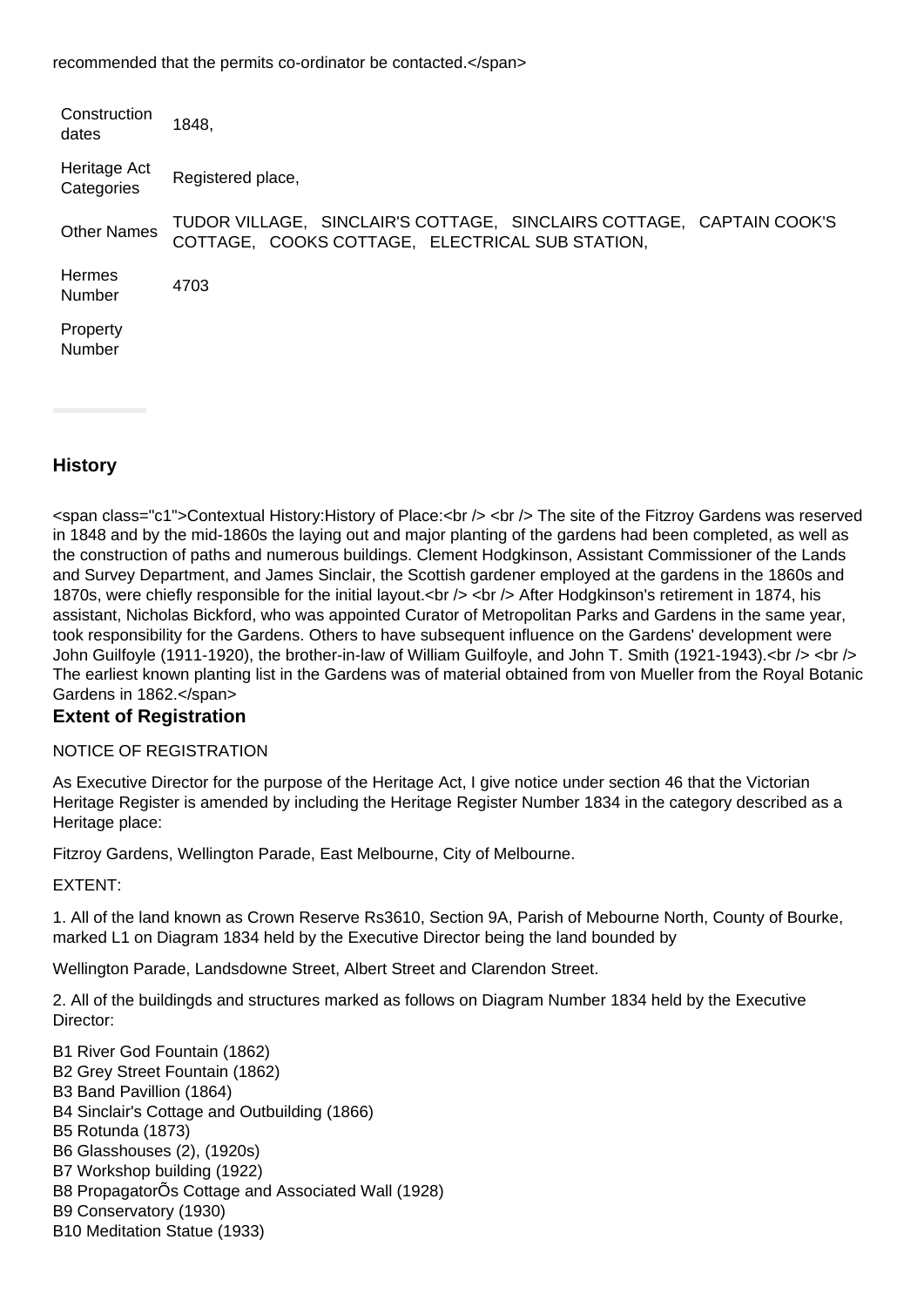recommended that the permits co-ordinator be contacted.</span>

| Construction<br>dates      | 1848.                                                                                                                   |
|----------------------------|-------------------------------------------------------------------------------------------------------------------------|
| Heritage Act<br>Categories | Registered place,                                                                                                       |
| <b>Other Names</b>         | TUDOR VILLAGE, SINCLAIR'S COTTAGE, SINCLAIRS COTTAGE, CAPTAIN COOK'S<br>COTTAGE, COOKS COTTAGE, ELECTRICAL SUB STATION, |
| Hermes<br>Number           | 4703                                                                                                                    |
| Property<br>Number         |                                                                                                                         |

## **History**

<span class="c1">Contextual History:History of Place:<br /> <br /> The site of the Fitzroy Gardens was reserved in 1848 and by the mid-1860s the laying out and major planting of the gardens had been completed, as well as the construction of paths and numerous buildings. Clement Hodgkinson, Assistant Commissioner of the Lands and Survey Department, and James Sinclair, the Scottish gardener employed at the gardens in the 1860s and 1870s, were chiefly responsible for the initial layout.<br />> <br />> After Hodgkinson's retirement in 1874, his assistant, Nicholas Bickford, who was appointed Curator of Metropolitan Parks and Gardens in the same year, took responsibility for the Gardens. Others to have subsequent influence on the Gardens' development were John Guilfoyle (1911-1920), the brother-in-law of William Guilfoyle, and John T. Smith (1921-1943).<br />> <br /> The earliest known planting list in the Gardens was of material obtained from von Mueller from the Royal Botanic Gardens in 1862.</span>

## **Extent of Registration**

#### NOTICE OF REGISTRATION

As Executive Director for the purpose of the Heritage Act, I give notice under section 46 that the Victorian Heritage Register is amended by including the Heritage Register Number 1834 in the category described as a Heritage place:

Fitzroy Gardens, Wellington Parade, East Melbourne, City of Melbourne.

#### EXTENT:

1. All of the land known as Crown Reserve Rs3610, Section 9A, Parish of Mebourne North, County of Bourke, marked L1 on Diagram 1834 held by the Executive Director being the land bounded by

Wellington Parade, Landsdowne Street, Albert Street and Clarendon Street.

2. All of the buildingds and structures marked as follows on Diagram Number 1834 held by the Executive Director:

B1 River God Fountain (1862) B2 Grey Street Fountain (1862) B3 Band Pavillion (1864) B4 Sinclair's Cottage and Outbuilding (1866) B5 Rotunda (1873) B6 Glasshouses (2), (1920s) B7 Workshop building (1922) B8 PropagatorÕs Cottage and Associated Wall (1928) B9 Conservatory (1930) B10 Meditation Statue (1933)